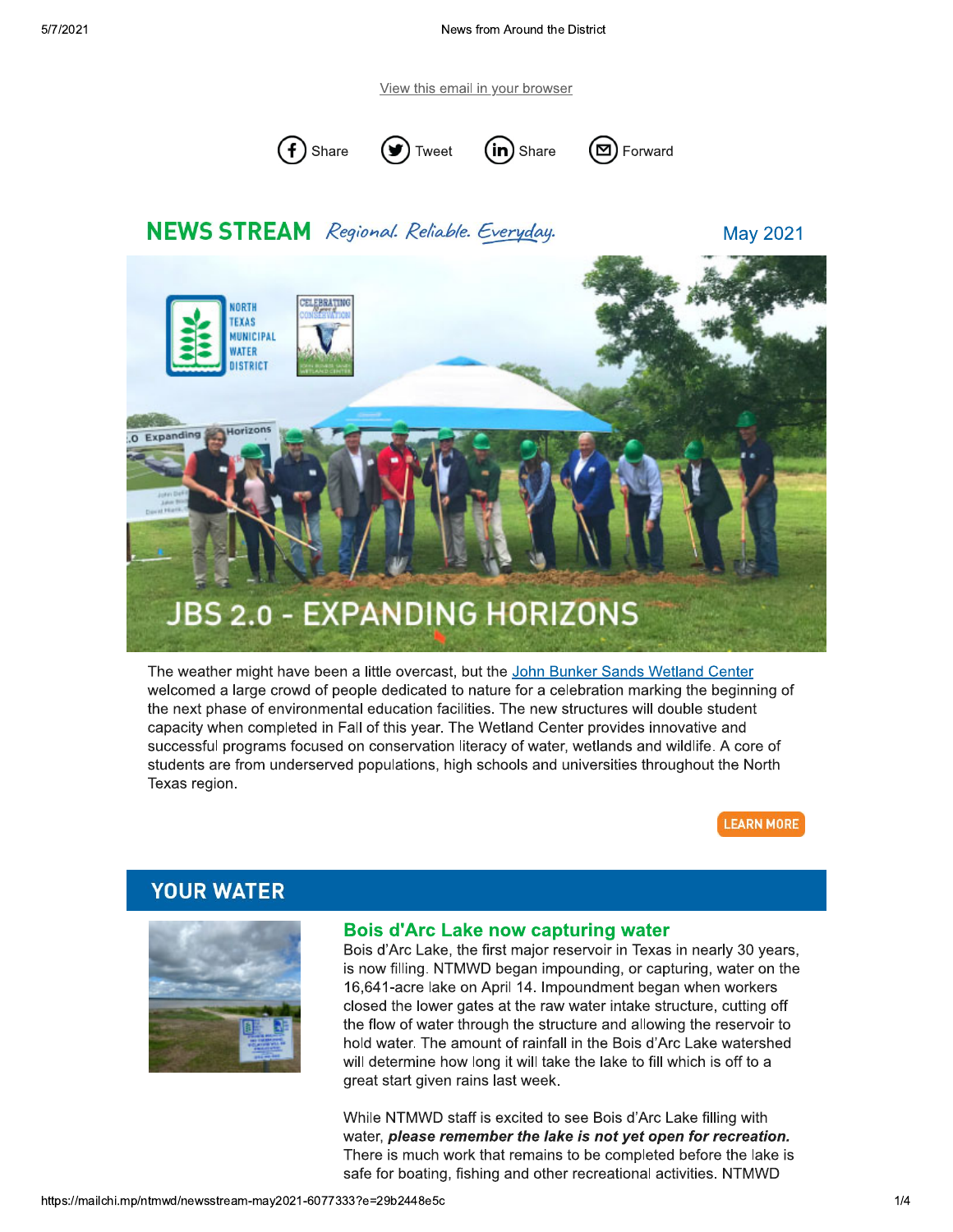View this email in your browser







# **NEWS STREAM** Regional. Reliable. Everyday.

**May 2021** 



The weather might have been a little overcast, but the John Bunker Sands Wetland Center welcomed a large crowd of people dedicated to nature for a celebration marking the beginning of the next phase of environmental education facilities. The new structures will double student capacity when completed in Fall of this year. The Wetland Center provides innovative and successful programs focused on conservation literacy of water, wetlands and wildlife. A core of students are from underserved populations, high schools and universities throughout the North Texas region.

**LEARN MORE** 

## **YOUR WATER**



#### **Bois d'Arc Lake now capturing water**

Bois d'Arc Lake, the first major reservoir in Texas in nearly 30 years, is now filling. NTMWD began impounding, or capturing, water on the 16,641-acre lake on April 14. Impoundment began when workers closed the lower gates at the raw water intake structure, cutting off the flow of water through the structure and allowing the reservoir to hold water. The amount of rainfall in the Bois d'Arc Lake watershed will determine how long it will take the lake to fill which is off to a great start given rains last week.

While NTMWD staff is excited to see Bois d'Arc Lake filling with water, please remember the lake is not yet open for recreation. There is much work that remains to be completed before the lake is safe for boating, fishing and other recreational activities. NTMWD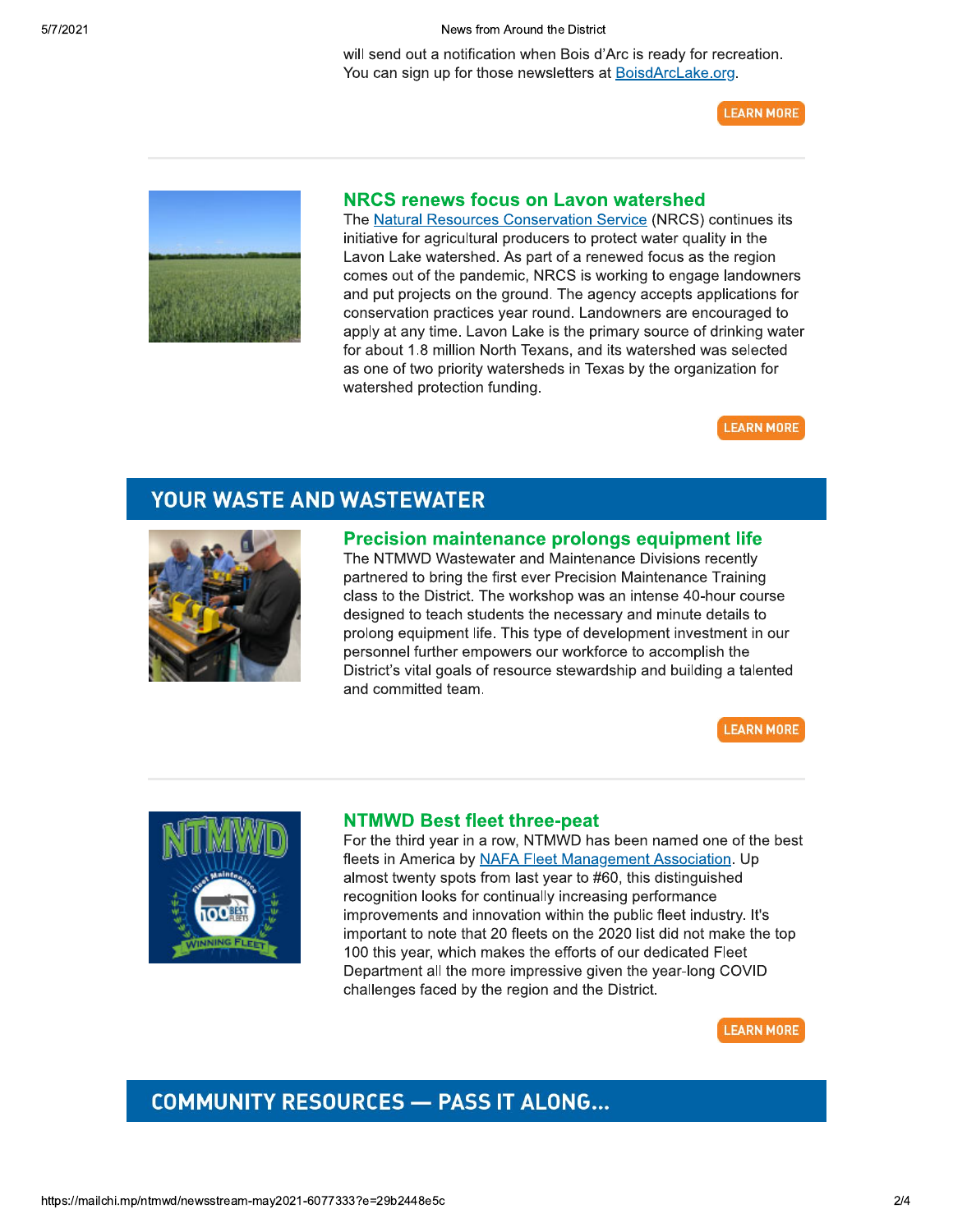News from Around the District

will send out a notification when Bois d'Arc is ready for recreation. You can sign up for those newsletters at BoisdArcLake.org.

**LEARN MORE** 



#### NRCS renews focus on Lavon watershed

The Natural Resources Conservation Service (NRCS) continues its initiative for agricultural producers to protect water quality in the Lavon Lake watershed. As part of a renewed focus as the region comes out of the pandemic, NRCS is working to engage landowners and put projects on the ground. The agency accepts applications for conservation practices year round. Landowners are encouraged to apply at any time. Lavon Lake is the primary source of drinking water for about 1.8 million North Texans, and its watershed was selected as one of two priority watersheds in Texas by the organization for watershed protection funding.



## **YOUR WASTE AND WASTEWATER**



## **Precision maintenance prolongs equipment life**

The NTMWD Wastewater and Maintenance Divisions recently partnered to bring the first ever Precision Maintenance Training class to the District. The workshop was an intense 40-hour course designed to teach students the necessary and minute details to prolong equipment life. This type of development investment in our personnel further empowers our workforce to accomplish the District's vital goals of resource stewardship and building a talented and committed team.

**LEARN MORE** 



#### **NTMWD Best fleet three-peat**

For the third year in a row, NTMWD has been named one of the best fleets in America by NAFA Fleet Management Association. Up almost twenty spots from last year to #60, this distinguished recognition looks for continually increasing performance improvements and innovation within the public fleet industry. It's important to note that 20 fleets on the 2020 list did not make the top 100 this year, which makes the efforts of our dedicated Fleet Department all the more impressive given the year-long COVID challenges faced by the region and the District.



## **COMMUNITY RESOURCES - PASS IT ALONG...**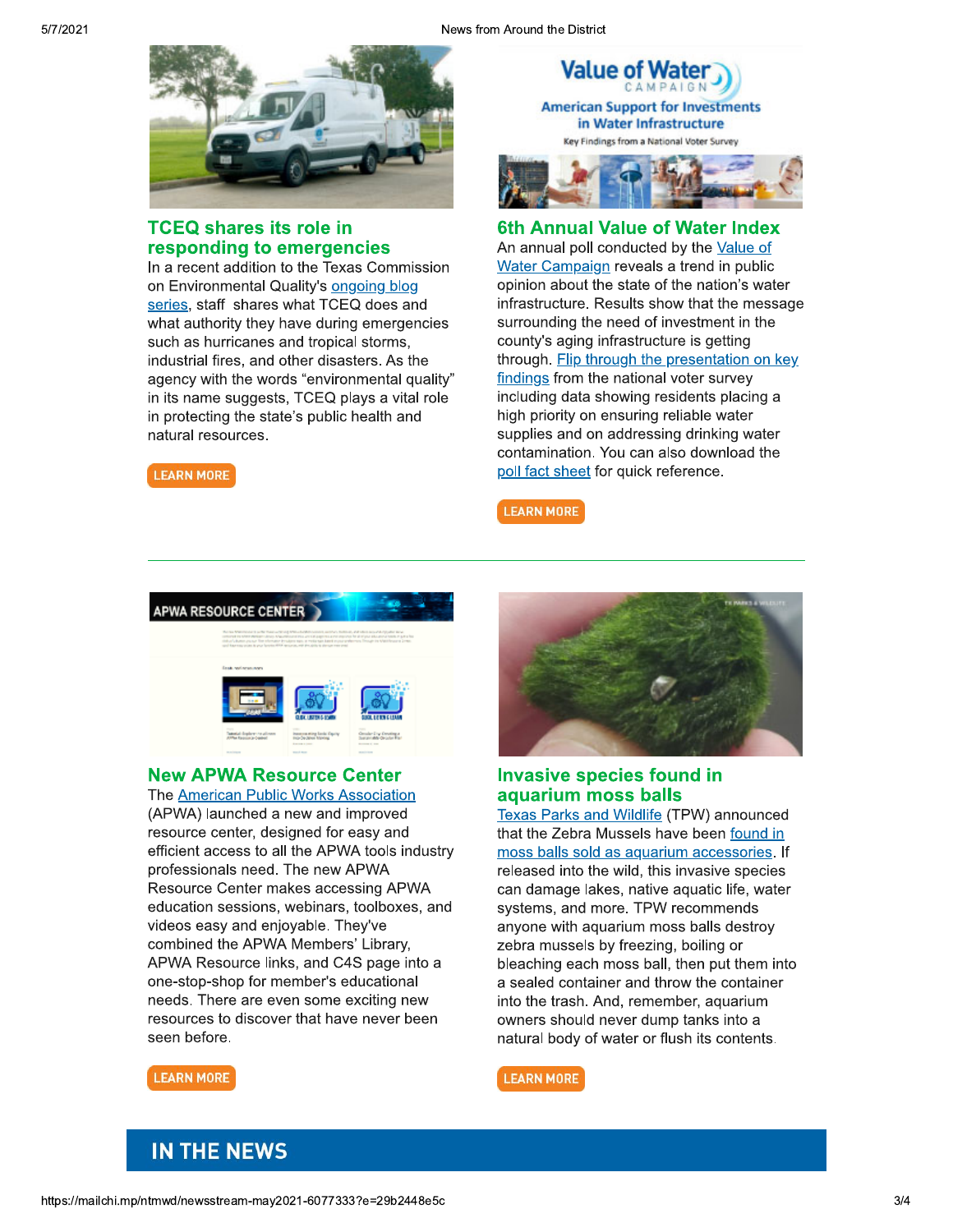from Around the District



#### TCEQ shares its role in responding to emergencies

in a recent addition to the Texas Commission on Environmental Quality's <u>ongoing blog</u> series, staff shares what TCEQ does and what authority they have during emergencies such as nurricanes and tropical storms, D industrial fires, and other disasters. As the agency with the words "environmental quality" in its name suggests,  $1$ CEQ plays a vital role in protecting the state's public health and natural resources.

**LEARN MORE** 



### 6th Annual Value of Water Index

An annual poll conducted by the Value of <u>water Campaign</u> reveals a trend in public opinion about the state of the nation's water infrastructure. Results show that the message surrounding the need of investment in the county's aging infrastructure is getting <u>through. Flip through the presentation on key</u> <u>findings</u> from the national voter survey including data showing residents placing a nign priority on ensuring reliable water supplies and on addressing drinking water contamination. You can also download the <u>poll fact sheet</u> for quick reference.

**LEARN MORE** 



#### **New APWA Resource Center**

The American Public Works Association (APWA) launched a new and improved resource center, designed for easy and efficient access to all the APWA tools industry professionais need. The new APWA Resource Center makes accessing APWA education sessions, weblhars, toolboxes, and videos easy and enjoyable. They've combined the APWA Members' Library, APWA Resource links, and C4S page into a one-stop-shop for member's educational needs. There are even some exciting new resources to discover that have never been seen before.



#### Invasive species found in aquarium moss balls

<u>Texas Parks and Wildlife</u> (TPW) announced that the Zebra Mussels have been <u>found in</u> <u>moss balls sold as aquarium accessories</u>. If released into the wild, this invasive species can damage lakes, native aquatic life, water systems, and more. TPW recommends anyone with aquarium moss balls destroy zebra mussels by freezing, bolling or bleaching each moss bail, then put them into a sealed container and throw the container into the trash. And, remember, aquarium owners should never dump tanks into a natural body of water or flush its contents.